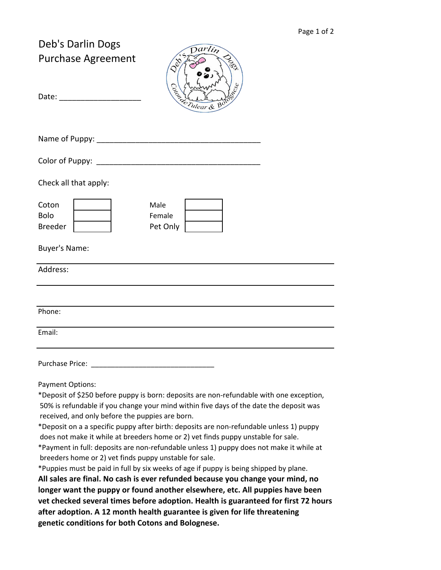| Deb's Darlin Dogs<br><b>Purchase Agreement</b><br>Date: the contract of the contract of the contract of the contract of the contract of the contract of the contract of the contract of the contract of the contract of the contract of the contract of the contract of the cont | $\overline{a}$ rlin<br>1991<br>Second H                                                                                                                                                                                                                                                                                                                                                                                                                                                                                                                                                                                                                                                                                                                                                                      |  |
|----------------------------------------------------------------------------------------------------------------------------------------------------------------------------------------------------------------------------------------------------------------------------------|--------------------------------------------------------------------------------------------------------------------------------------------------------------------------------------------------------------------------------------------------------------------------------------------------------------------------------------------------------------------------------------------------------------------------------------------------------------------------------------------------------------------------------------------------------------------------------------------------------------------------------------------------------------------------------------------------------------------------------------------------------------------------------------------------------------|--|
| Name of Puppy:                                                                                                                                                                                                                                                                   |                                                                                                                                                                                                                                                                                                                                                                                                                                                                                                                                                                                                                                                                                                                                                                                                              |  |
| Color of Puppy: the color of Puppy:                                                                                                                                                                                                                                              |                                                                                                                                                                                                                                                                                                                                                                                                                                                                                                                                                                                                                                                                                                                                                                                                              |  |
| Check all that apply:                                                                                                                                                                                                                                                            |                                                                                                                                                                                                                                                                                                                                                                                                                                                                                                                                                                                                                                                                                                                                                                                                              |  |
| Coton<br><b>Bolo</b><br><b>Breeder</b>                                                                                                                                                                                                                                           | Male<br>Female<br>Pet Only                                                                                                                                                                                                                                                                                                                                                                                                                                                                                                                                                                                                                                                                                                                                                                                   |  |
| <b>Buyer's Name:</b>                                                                                                                                                                                                                                                             |                                                                                                                                                                                                                                                                                                                                                                                                                                                                                                                                                                                                                                                                                                                                                                                                              |  |
| Address:                                                                                                                                                                                                                                                                         |                                                                                                                                                                                                                                                                                                                                                                                                                                                                                                                                                                                                                                                                                                                                                                                                              |  |
|                                                                                                                                                                                                                                                                                  |                                                                                                                                                                                                                                                                                                                                                                                                                                                                                                                                                                                                                                                                                                                                                                                                              |  |
| Phone:                                                                                                                                                                                                                                                                           |                                                                                                                                                                                                                                                                                                                                                                                                                                                                                                                                                                                                                                                                                                                                                                                                              |  |
| Email:                                                                                                                                                                                                                                                                           |                                                                                                                                                                                                                                                                                                                                                                                                                                                                                                                                                                                                                                                                                                                                                                                                              |  |
| Purchase Price:                                                                                                                                                                                                                                                                  |                                                                                                                                                                                                                                                                                                                                                                                                                                                                                                                                                                                                                                                                                                                                                                                                              |  |
| <b>Payment Options:</b><br>received, and only before the puppies are born.<br>breeders home or 2) vet finds puppy unstable for sale.                                                                                                                                             | *Deposit of \$250 before puppy is born: deposits are non-refundable with one exception,<br>50% is refundable if you change your mind within five days of the date the deposit was<br>*Deposit on a a specific puppy after birth: deposits are non-refundable unless 1) puppy<br>does not make it while at breeders home or 2) vet finds puppy unstable for sale.<br>*Payment in full: deposits are non-refundable unless 1) puppy does not make it while at<br>*Puppies must be paid in full by six weeks of age if puppy is being shipped by plane.<br>All sales are final. No cash is ever refunded because you change your mind, no<br>longer want the puppy or found another elsewhere, etc. All puppies have been<br>vet checked several times before adoption. Health is guaranteed for first 72 hours |  |

**after adoption. A 12 month health guarantee is given for life threatening genetic conditions for both Cotons and Bolognese.**